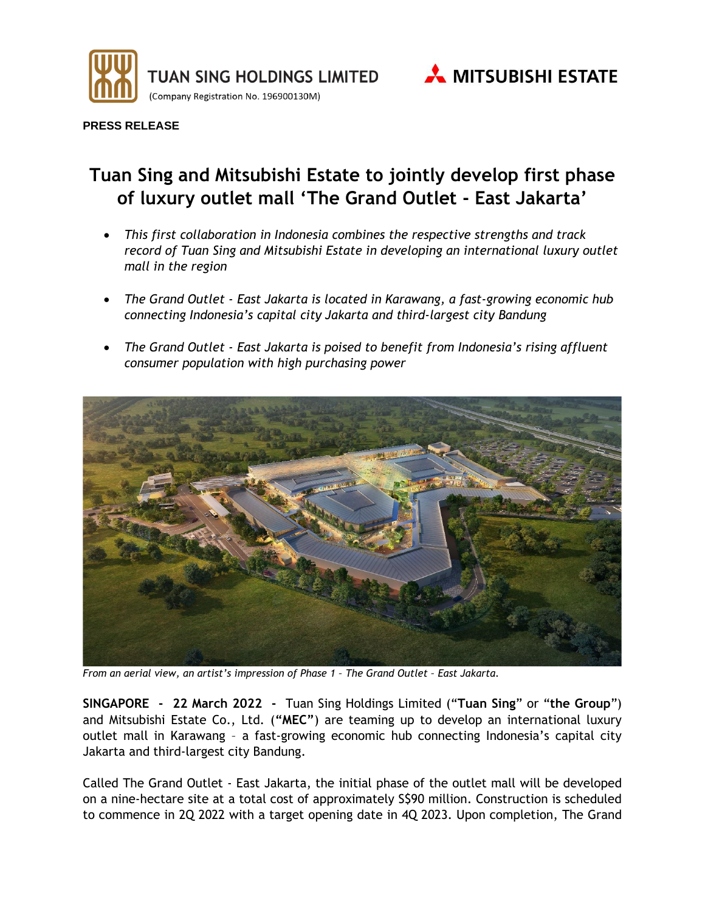



**PRESS RELEASE**

# **Tuan Sing and Mitsubishi Estate to jointly develop first phase of luxury outlet mall 'The Grand Outlet - East Jakarta'**

- *This first collaboration in Indonesia combines the respective strengths and track record of Tuan Sing and Mitsubishi Estate in developing an international luxury outlet mall in the region*
- *The Grand Outlet - East Jakarta is located in Karawang, a fast-growing economic hub connecting Indonesia's capital city Jakarta and third-largest city Bandung*
- *The Grand Outlet - East Jakarta is poised to benefit from Indonesia's rising affluent consumer population with high purchasing power*



*From an aerial view, an artist's impression of Phase 1 – The Grand Outlet – East Jakarta.*

**SINGAPORE - 22 March 2022 -** Tuan Sing Holdings Limited ("**Tuan Sing**" or "**the Group**") and Mitsubishi Estate Co., Ltd. (**"MEC"**) are teaming up to develop an international luxury outlet mall in Karawang – a fast-growing economic hub connecting Indonesia's capital city Jakarta and third-largest city Bandung.

Called The Grand Outlet - East Jakarta, the initial phase of the outlet mall will be developed on a nine-hectare site at a total cost of approximately S\$90 million. Construction is scheduled to commence in 2Q 2022 with a target opening date in 4Q 2023. Upon completion, The Grand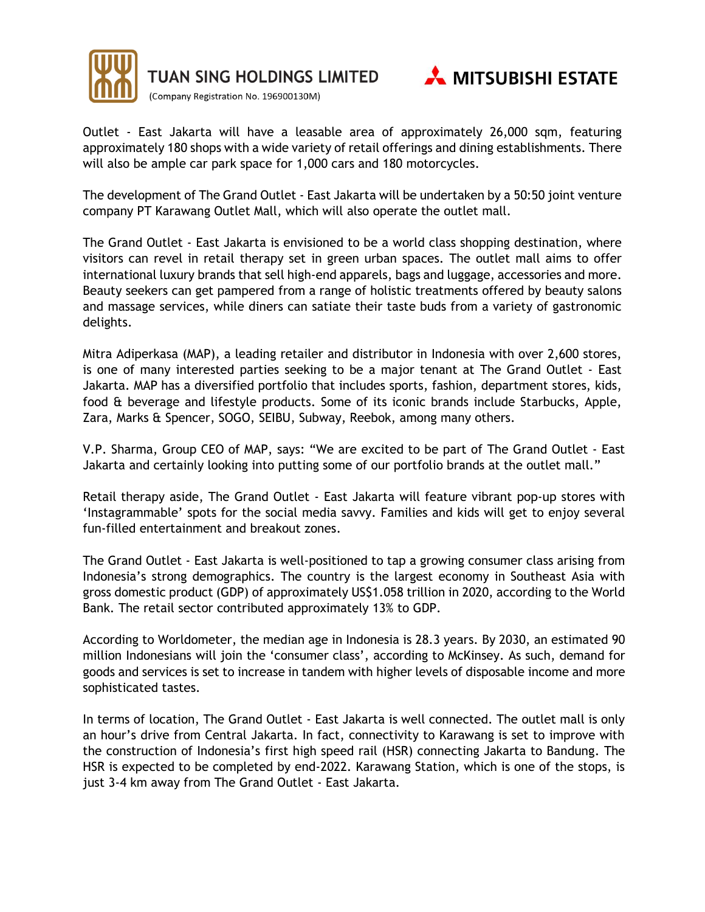

TUAN SING HOLDINGS LIMITED

(Company Registration No. 196900130M)



Outlet - East Jakarta will have a leasable area of approximately 26,000 sqm, featuring approximately 180 shops with a wide variety of retail offerings and dining establishments. There will also be ample car park space for 1,000 cars and 180 motorcycles.

The development of The Grand Outlet - East Jakarta will be undertaken by a 50:50 joint venture company PT Karawang Outlet Mall, which will also operate the outlet mall.

The Grand Outlet - East Jakarta is envisioned to be a world class shopping destination, where visitors can revel in retail therapy set in green urban spaces. The outlet mall aims to offer international luxury brands that sell high-end apparels, bags and luggage, accessories and more. Beauty seekers can get pampered from a range of holistic treatments offered by beauty salons and massage services, while diners can satiate their taste buds from a variety of gastronomic delights.

Mitra Adiperkasa (MAP), a leading retailer and distributor in Indonesia with over 2,600 stores, is one of many interested parties seeking to be a major tenant at The Grand Outlet - East Jakarta. MAP has a diversified portfolio that includes sports, fashion, department stores, kids, food & beverage and lifestyle products. Some of its iconic brands include Starbucks, Apple, Zara, Marks & Spencer, SOGO, SEIBU, Subway, Reebok, among many others.

V.P. Sharma, Group CEO of MAP, says: "We are excited to be part of The Grand Outlet - East Jakarta and certainly looking into putting some of our portfolio brands at the outlet mall."

Retail therapy aside, The Grand Outlet - East Jakarta will feature vibrant pop-up stores with 'Instagrammable' spots for the social media savvy. Families and kids will get to enjoy several fun-filled entertainment and breakout zones.

The Grand Outlet - East Jakarta is well-positioned to tap a growing consumer class arising from Indonesia's strong demographics. The country is the largest economy in Southeast Asia with gross domestic product (GDP) of approximately US\$1.058 trillion in 2020, according to the World Bank. The retail sector contributed approximately 13% to GDP.

According to Worldometer, the median age in Indonesia is 28.3 years. By 2030, an estimated 90 million Indonesians will join the 'consumer class', according to McKinsey. As such, demand for goods and services is set to increase in tandem with higher levels of disposable income and more sophisticated tastes.

In terms of location, The Grand Outlet - East Jakarta is well connected. The outlet mall is only an hour's drive from Central Jakarta. In fact, connectivity to Karawang is set to improve with the construction of Indonesia's first high speed rail (HSR) connecting Jakarta to Bandung. The HSR is expected to be completed by end-2022. Karawang Station, which is one of the stops, is just 3-4 km away from The Grand Outlet - East Jakarta.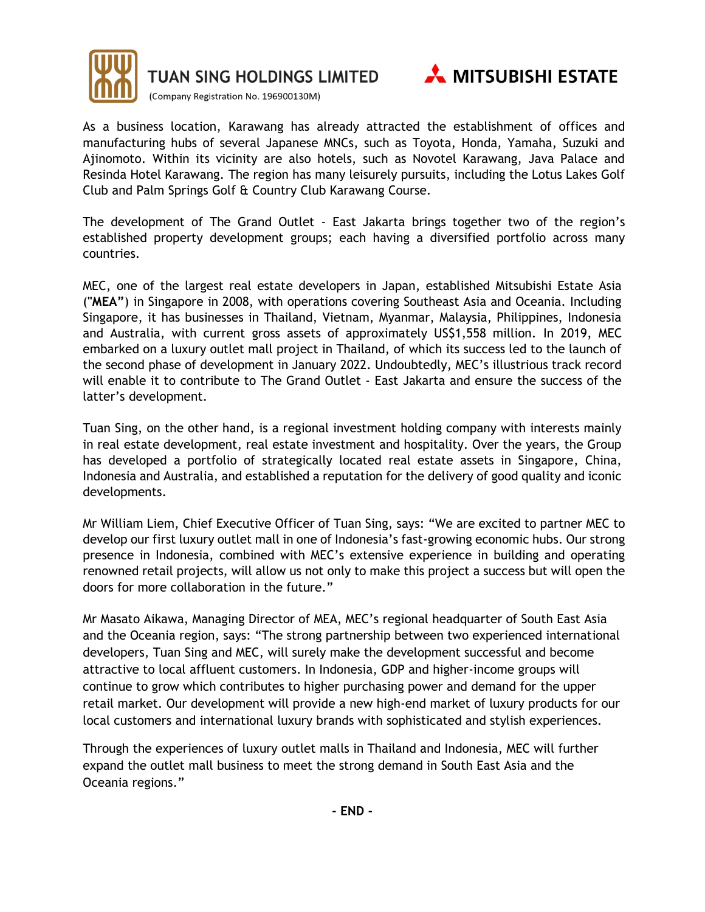

TUAN SING HOLDINGS LIMITED



(Company Registration No. 196900130M)

As a business location, Karawang has already attracted the establishment of offices and manufacturing hubs of several Japanese MNCs, such as Toyota, Honda, Yamaha, Suzuki and Ajinomoto. Within its vicinity are also hotels, such as Novotel Karawang, Java Palace and Resinda Hotel Karawang. The region has many leisurely pursuits, including the Lotus Lakes Golf Club and Palm Springs Golf & Country Club Karawang Course.

The development of The Grand Outlet - East Jakarta brings together two of the region's established property development groups; each having a diversified portfolio across many countries.

MEC, one of the largest real estate developers in Japan, established Mitsubishi Estate Asia (**"MEA"**) in Singapore in 2008, with operations covering Southeast Asia and Oceania. Including Singapore, it has businesses in Thailand, Vietnam, Myanmar, Malaysia, Philippines, Indonesia and Australia, with current gross assets of approximately US\$1,558 million. In 2019, MEC embarked on a luxury outlet mall project in Thailand, of which its success led to the launch of the second phase of development in January 2022. Undoubtedly, MEC's illustrious track record will enable it to contribute to The Grand Outlet - East Jakarta and ensure the success of the latter's development.

Tuan Sing, on the other hand, is a regional investment holding company with interests mainly in real estate development, real estate investment and hospitality. Over the years, the Group has developed a portfolio of strategically located real estate assets in Singapore, China, Indonesia and Australia, and established a reputation for the delivery of good quality and iconic developments.

Mr William Liem, Chief Executive Officer of Tuan Sing, says: "We are excited to partner MEC to develop our first luxury outlet mall in one of Indonesia's fast-growing economic hubs. Our strong presence in Indonesia, combined with MEC's extensive experience in building and operating renowned retail projects, will allow us not only to make this project a success but will open the doors for more collaboration in the future."

Mr Masato Aikawa, Managing Director of MEA, MEC's regional headquarter of South East Asia and the Oceania region, says: "The strong partnership between two experienced international developers, Tuan Sing and MEC, will surely make the development successful and become attractive to local affluent customers. In Indonesia, GDP and higher-income groups will continue to grow which contributes to higher purchasing power and demand for the upper retail market. Our development will provide a new high-end market of luxury products for our local customers and international luxury brands with sophisticated and stylish experiences.

Through the experiences of luxury outlet malls in Thailand and Indonesia, MEC will further expand the outlet mall business to meet the strong demand in South East Asia and the Oceania regions."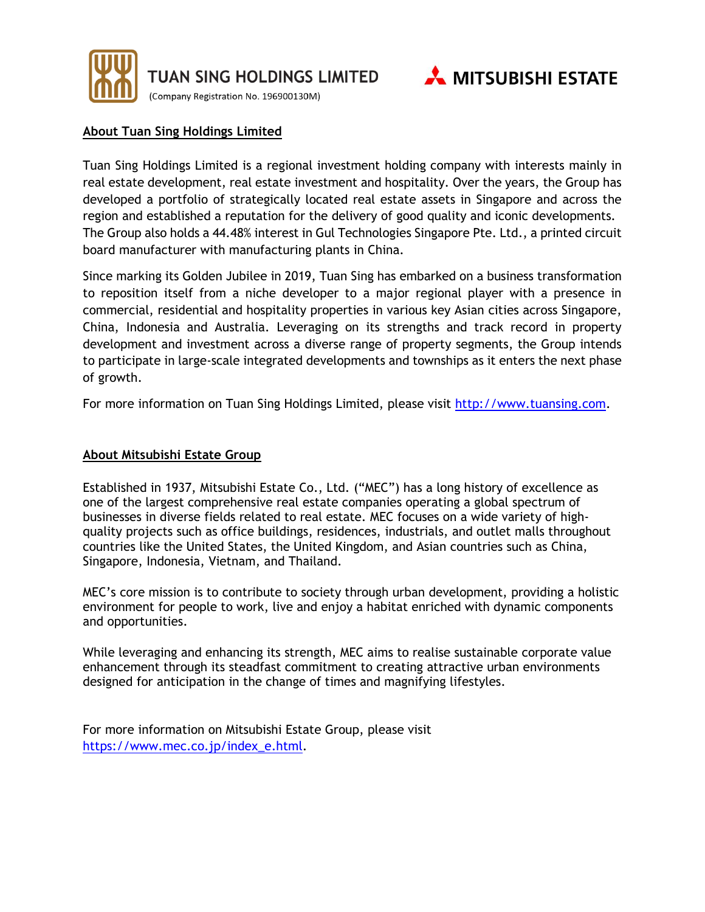

TUAN SING HOLDINGS LIMITED

(Company Registration No. 196900130M)



#### **About Tuan Sing Holdings Limited**

Tuan Sing Holdings Limited is a regional investment holding company with interests mainly in real estate development, real estate investment and hospitality. Over the years, the Group has developed a portfolio of strategically located real estate assets in Singapore and across the region and established a reputation for the delivery of good quality and iconic developments. The Group also holds a 44.48% interest in Gul Technologies Singapore Pte. Ltd., a printed circuit board manufacturer with manufacturing plants in China.

Since marking its Golden Jubilee in 2019, Tuan Sing has embarked on a business transformation to reposition itself from a niche developer to a major regional player with a presence in commercial, residential and hospitality properties in various key Asian cities across Singapore, China, Indonesia and Australia. Leveraging on its strengths and track record in property development and investment across a diverse range of property segments, the Group intends to participate in large-scale integrated developments and townships as it enters the next phase of growth.

For more information on Tuan Sing Holdings Limited, please visit [http://www.tuansing.com.](http://www.tuansing.com/)

#### **About Mitsubishi Estate Group**

Established in 1937, Mitsubishi Estate Co., Ltd. ("MEC") has a long history of excellence as one of the largest comprehensive real estate companies operating a global spectrum of businesses in diverse fields related to real estate. MEC focuses on a wide variety of highquality projects such as office buildings, residences, industrials, and outlet malls throughout countries like the United States, the United Kingdom, and Asian countries such as China, Singapore, Indonesia, Vietnam, and Thailand.

MEC's core mission is to contribute to society through urban development, providing a holistic environment for people to work, live and enjoy a habitat enriched with dynamic components and opportunities.

While leveraging and enhancing its strength, MEC aims to realise sustainable corporate value enhancement through its steadfast commitment to creating attractive urban environments designed for anticipation in the change of times and magnifying lifestyles.

For more information on Mitsubishi Estate Group, please visit [https://www.mec.co.jp/index\\_e.html.](https://www.mec.co.jp/index_e.html)